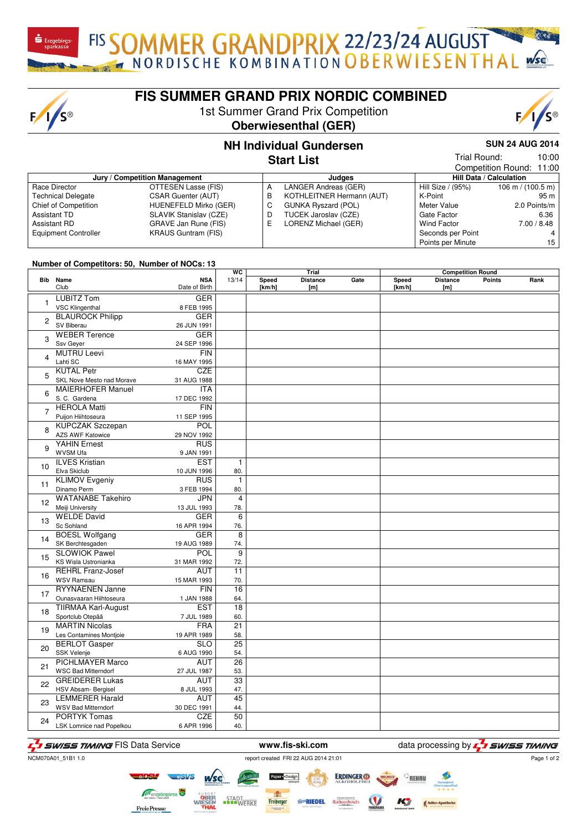FIS SOMMER GRANDPRIX 22/23/24 AUGUST

 $F/I/S^{\circledcirc}$ 

## **FIS SUMMER GRAND PRIX NORDIC COMBINED**

1st Summer Grand Prix Competition

## **Oberwiesenthal (GER)**



10:00

**SUN 24 AUG 2014**

Trial Round:

### **NH Individual Gundersen Start List**

|                               |                            |   |                            |                    | Competition Round: 11:00            |  |  |
|-------------------------------|----------------------------|---|----------------------------|--------------------|-------------------------------------|--|--|
| Jury / Competition Management |                            |   | Judaes                     |                    | <b>Hill Data / Calculation</b>      |  |  |
| Race Director                 | OTTESEN Lasse (FIS)        | A | LANGER Andreas (GER)       | Hill Size / (95%)  | $106 \text{ m} / (100.5 \text{ m})$ |  |  |
| <b>Technical Delegate</b>     | <b>CSAR Guenter (AUT)</b>  | в | KOTHLEITNER Hermann (AUT)  | K-Point            | 95 m                                |  |  |
| Chief of Competition          | HUENEFELD Mirko (GER)      | C | <b>GUNKA Ryszard (POL)</b> | Meter Value        | 2.0 Points/m                        |  |  |
| Assistant TD                  | SLAVIK Stanislav (CZE)     | D | TUCEK Jaroslav (CZE)       | Gate Factor        | 6.36                                |  |  |
| Assistant RD                  | GRAVE Jan Rune (FIS)       | E | LORENZ Michael (GER)       | <b>Wind Factor</b> | 7.00 / 8.48                         |  |  |
| <b>Equipment Controller</b>   | <b>KRAUS Guntram (FIS)</b> |   |                            | Seconds per Point  |                                     |  |  |
|                               |                            |   |                            | Points per Minute  | 15                                  |  |  |

#### **Number of Competitors: 50, Number of NOCs: 13**

|                         |                            | WC<br>Trial                 |                 |                        | <b>Competition Round</b> |      |                 |                        |               |      |
|-------------------------|----------------------------|-----------------------------|-----------------|------------------------|--------------------------|------|-----------------|------------------------|---------------|------|
|                         | <b>Bib</b> Name<br>Club    | <b>NSA</b><br>Date of Birth | 13/14           | <b>Speed</b><br>[km/h] | <b>Distance</b><br>[m]   | Gate | Speed<br>[km/h] | <b>Distance</b><br>[m] | <b>Points</b> | Rank |
|                         | <b>LUBITZ Tom</b>          | <b>GER</b>                  |                 |                        |                          |      |                 |                        |               |      |
| 1                       | <b>VSC Klingenthal</b>     | 8 FEB 1995                  |                 |                        |                          |      |                 |                        |               |      |
| $\overline{c}$          | <b>BLAUROCK Philipp</b>    | <b>GER</b>                  |                 |                        |                          |      |                 |                        |               |      |
|                         | SV Biberau                 | 26 JUN 1991                 |                 |                        |                          |      |                 |                        |               |      |
|                         | <b>WEBER Terence</b>       | <b>GER</b>                  |                 |                        |                          |      |                 |                        |               |      |
| 3                       | Ssv Geyer                  | 24 SEP 1996                 |                 |                        |                          |      |                 |                        |               |      |
|                         | <b>MUTRU Leevi</b>         | <b>FIN</b>                  |                 |                        |                          |      |                 |                        |               |      |
| $\overline{\mathbf{4}}$ | Lahti SC                   | 16 MAY 1995                 |                 |                        |                          |      |                 |                        |               |      |
|                         | <b>KUTAL Petr</b>          | <b>CZE</b>                  |                 |                        |                          |      |                 |                        |               |      |
| 5                       | SKL Nove Mesto nad Morave  | 31 AUG 1988                 |                 |                        |                          |      |                 |                        |               |      |
|                         | <b>MAIERHOFER Manuel</b>   | <b>ITA</b>                  |                 |                        |                          |      |                 |                        |               |      |
| 6                       | S. C. Gardena              | 17 DEC 1992                 |                 |                        |                          |      |                 |                        |               |      |
|                         | <b>HEROLA Matti</b>        | FIN                         |                 |                        |                          |      |                 |                        |               |      |
| $\overline{7}$          | Puijon Hiihtoseura         | 11 SEP 1995                 |                 |                        |                          |      |                 |                        |               |      |
|                         | <b>KUPCZAK Szczepan</b>    | POL                         |                 |                        |                          |      |                 |                        |               |      |
| 8                       | AZS AWF Katowice           | 29 NOV 1992                 |                 |                        |                          |      |                 |                        |               |      |
|                         | <b>YAHIN Ernest</b>        | <b>RUS</b>                  |                 |                        |                          |      |                 |                        |               |      |
| 9                       | <b>WVSM Ufa</b>            | 9 JAN 1991                  |                 |                        |                          |      |                 |                        |               |      |
|                         | <b>ILVES Kristian</b>      | <b>EST</b>                  | $\mathbf{1}$    |                        |                          |      |                 |                        |               |      |
| 10                      | Elva Skiclub               | 10 JUN 1996                 | 80.             |                        |                          |      |                 |                        |               |      |
|                         | <b>KLIMOV Evgeniy</b>      | <b>RUS</b>                  | $\mathbf{1}$    |                        |                          |      |                 |                        |               |      |
| 11                      | Dinamo Perm                | 3 FEB 1994                  | 80.             |                        |                          |      |                 |                        |               |      |
|                         | <b>WATANABE Takehiro</b>   | <b>JPN</b>                  | $\overline{4}$  |                        |                          |      |                 |                        |               |      |
| 12                      | Meiji University           | 13 JUL 1993                 | 78.             |                        |                          |      |                 |                        |               |      |
|                         | <b>WELDE David</b>         | <b>GER</b>                  | 6               |                        |                          |      |                 |                        |               |      |
| 13                      | Sc Sohland                 | 16 APR 1994                 | 76.             |                        |                          |      |                 |                        |               |      |
|                         | <b>BOESL Wolfgang</b>      | <b>GER</b>                  | $\overline{8}$  |                        |                          |      |                 |                        |               |      |
| 14                      | SK Berchtesgaden           | 19 AUG 1989                 | 74.             |                        |                          |      |                 |                        |               |      |
|                         | <b>SLOWIOK Pawel</b>       | POL                         | $\overline{9}$  |                        |                          |      |                 |                        |               |      |
| 15                      | KS Wisla Ustronianka       | 31 MAR 1992                 | 72.             |                        |                          |      |                 |                        |               |      |
|                         | <b>REHRL Franz-Josef</b>   | AUT                         | 11              |                        |                          |      |                 |                        |               |      |
| 16                      | <b>WSV Ramsau</b>          | 15 MAR 1993                 | 70.             |                        |                          |      |                 |                        |               |      |
|                         | <b>RYYNAENEN Janne</b>     | FIN                         | $\overline{16}$ |                        |                          |      |                 |                        |               |      |
| 17                      | Ounasvaaran Hiihtoseura    | 1 JAN 1988                  | 64.             |                        |                          |      |                 |                        |               |      |
|                         | <b>TIIRMAA Karl-August</b> | EST                         | 18              |                        |                          |      |                 |                        |               |      |
| 18                      | Sportclub Otepää           | 7 JUL 1989                  | 60.             |                        |                          |      |                 |                        |               |      |
| 19                      | <b>MARTIN Nicolas</b>      | <b>FRA</b>                  | $\overline{21}$ |                        |                          |      |                 |                        |               |      |
|                         | Les Contamines Montjoie    | 19 APR 1989                 | 58.             |                        |                          |      |                 |                        |               |      |
| 20                      | <b>BERLOT Gasper</b>       | <b>SLO</b>                  | $\overline{25}$ |                        |                          |      |                 |                        |               |      |
|                         | SSK Velenje                | 6 AUG 1990                  | 54.             |                        |                          |      |                 |                        |               |      |
| 21                      | <b>PICHLMAYER Marco</b>    | <b>AUT</b>                  | $\overline{26}$ |                        |                          |      |                 |                        |               |      |
|                         | <b>WSC Bad Mitterndorf</b> | 27 JUL 1987                 | 53.             |                        |                          |      |                 |                        |               |      |
| 22                      | <b>GREIDERER Lukas</b>     | AUT                         | $\overline{33}$ |                        |                          |      |                 |                        |               |      |
|                         | HSV Absam- Bergisel        | 8 JUL 1993                  | 47.             |                        |                          |      |                 |                        |               |      |
| 23                      | <b>LEMMERER Harald</b>     | AUT                         | $\overline{45}$ |                        |                          |      |                 |                        |               |      |
|                         | <b>WSV Bad Mitterndorf</b> | 30 DEC 1991                 | 44.             |                        |                          |      |                 |                        |               |      |
| 24                      | <b>PORTYK Tomas</b>        | <b>CZE</b>                  | $\overline{50}$ |                        |                          |      |                 |                        |               |      |
|                         | LSK Lomnice nad Popelkou   | 6 APR 1996                  | 40.             |                        |                          |      |                 |                        |               |      |

# F<sub>I</sub>T SWISS TIMING FIS Data Service **www.fis-ski.com** data processing by F<sub>I</sub>T SWISS TIMING

**FreiePresse** 

NCM070A01\_51B1 1.0 report created FRI 22 AUG 2014 21:01

STADT<br>WERKE

Page 1 of 2

**ERDINGER** Freiberger *Ro*RIEDEL